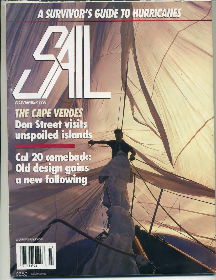## A SURVIVOR'S GUIDE TO HURRICANES

NOVEMBER 1991 THE CAPE VERDES<br>Don Street visits<br>unspoiled islands

**Cal 20 comeback:<br>Old design gains<br>a new following** 

**CAHNERS PUBLICATION** 



\$3.00 Canada

\$2.50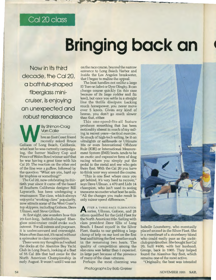### **Cal20class**

# **Bringing back an**

**Now in its third decade, the Cal 20, a bathtub-shaped fiberglass minicruiser, is enjoying an unexpected and robust renaissance** 

By Shimon-Craig<br>
Van Collie<br>
Then an East Coast friend<br>
Theory asked Bruce<br>
Golison of Long Beach, California, Van Collie hen an East Coast friend recently asked Bruce what boat he was currently campaigning, the former Mallory Cup and Prince of Wales Bowl winner said that he was having a great time with his Cal 20. The reaction on the other end of the line was a guffaw, followed by the question "What are you, hard up for trophies or something?"

The Cal 20, now celebrating its thirtieth year since it came off the board of Southern California designer Bill Lapworth, has been undergoing a renaissance. The class, which always enjoyed a "working-class" popularity, now attracts some of the West Coast's top skippers, including Golison, Dave Ullman, and Steve Grillon.

At first sight, one wonders how this 20-foot-long, bathtub-shaped fiberglass mini-cruiser could evoke such interest. For all intents and purposes, it is undercanvased and overweight. More often than not, it's raced without a spinnaker in class competition.

These were my thoughts as I walked the docks at the Alamitos Bay Yacht Club in Long Beach, looking at a fleet of 55 Cal 20s that had come for the North American Championship in early August. It wasn't until I was out

on the race course, beyond the narrow entrance to Long Beach Harbor and inside the Los Angeles breakwater, that I began to realize the appeal.

The boat handles not unlike a large El Toro or Sabot or Dyer Dinghy. It can change course quickly (in this case because of its large rudder and fin keel), but once you settle in a straight line the thrills dissipate. Lacking much horsepower, you never move over 5 knots. Given any kind of breeze, you don't go much slower than that, either.

This one-speed-fits-all feature produces something that has been noticeably absent in much of my sailing in recent years-tactical exercise. So much of high-tech sailing, be it on ultralights or sailboards or Ultimate 30s or even International Offshore Rule (IOR) or International Measurement System (IMS) boats, tends to be an exotic and expensive form of drag racing where you simply put the pedal to the metal and see who gets there first. With the Cal 20 you have to think your way around the course.

"This is one fleet where once you get behind, it's very hard to recover," says Dave Ullman, a 470 and Lido 14 champion, who isn't used to seeing transoms no matter what boat he sails. "All the changes you make result in only minor speed differences."

**A FTER A THREE-RACE ELIMINATION**<br>series, Ullman, Golison, and 28 others qualified for the Gold Fleet for the North American title. Sailing with class president Dave Ellis of Long Beach, I found myself in the Silver Fleet, thanks to our grabbing a large clump of kelp on our keel on the first beat and hitting the first weather mark in the remaining two heats. The quality of competition among the also-rans was better than I expected, in large part because of the presence of many of the class veterans.

Perhaps the most charming was

Photographs by Bob Greiser



Isabelle Lounsberry, who eventually placed second in the Silver Fleet. She is a sweetheart of a strawberry blond who could easily pass as the yachtclub grandmother. She bought her Cal 20, hull #400, with her husband, George, back in 1965. They helped found the Alamitos Bay fleet, which remains one of the most active.

"Originally, the boat was intended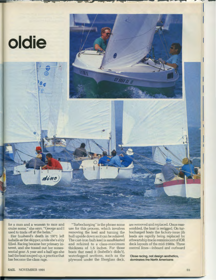

for a man and a woman to race and cruise some," she says. "George and I used to trade off at the helm."

Her husband's death in 1971 left Isabelle as the skipper, a role she's ably filled. Racing became her primary interest, and she tossed out her nonessential gear. A year and a half ago she had the boat souped up, a practice that has become the class rage.

"Turbocharging" is the phrase some use for this process, which involves removing the keel and turning the hull upside down so it can be refaired. The cast-iron bulb keel is sandblasted and refaired to a class-maximum thickness of 1.5 inches. For those boats that need it (Isabelle's didn't), waterlogged sections, such as the plywood under the fiberglass deck, are removed and replaced. Once reassembled, the boat is rerigged. On turbocharged boats the factory-issue jib leads are rapidly being replaced bv athwartship tracks reminiscent ofiOR deck layouts of the mid-1980s. Three control lines-inboard and outboard

**Close racing, not design aesthetics, dominates the North Americans**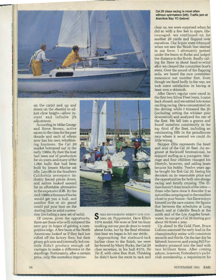

on the car(s) and up and down on the sheet(s) to adjust clew height-allow instant and infinite jib adjustment.

According to Mike George and Steve Brown, active racers in the class for the past decade and each of whom now has his own refurbishing business, the Cal 20 market bottomed out in the early 1980s. By then the boat had been out of production for six years, and many of the 1,960 hulls that had been built by Jensen Marine sat idle. Layoffs in the Southern California aerospace industry forced prices down, and sailors looked around for an affordable alternative to the expensive IOR. By the mid-1980s a thousand bucks would get you a hull, and another five or six grand could put your boat on the starting line in solid conten-

tion (including a new set of sails).

Of course, given the opportunity, there are those who will outspend the next guy in hopes of gaining a competitive edge. A few boats at the North Americans looked as if they had just rolled off the factory floor, but their glossy gelcoats and internally led controls didn't produce enough advantages to make a difference in the standings. Fortunately, after a certain price, only the cosmetics improve.



S PEED REFINEMENTS WEREN'T OUR CONCERT OF PEPPERMENTS WEREN'T OUR CON-1974 model. We were at first too busy working out our *pas de deux* to worry about looks, but by the final elimination heat we began to hit our stride.

Approaching the starboard-tack layline close to the finish, we were lee-bowed by Marty Burke, the Cal20 class secretary, in his hull #370, Tie *Tie II,* with crew Don Burt. Thinking he didn't have the room to tack and

#### **Cal 20 class racing is most often without spinnakers (left). Traffic jam at Alamitos Bay YC (below)**

clear us, we were surprised when he did so with a few feet to spare. Discouraged, we continued on for another 20 yards and flopped over ourselves. Our hopes were rebuoyed when we saw the finish line slanted in our favor. I alternately peeked under the boom at Burke and judged the distance to the finish, finally calling for Dave to shoot head-to-wind after we cleared the committee boat's stern. Over the sound of the flapping sails, we heard the race committee announce our number first. Even though we fared badly in the war, we took some satisfaction in having at least won a skirmish.

After Dave's regular crew raced in the first two Silver Fleet heats, I came back aboard, and we settled into some exciting racing. Dave concentrated on the driving while I trimmed the jib (including setting the whisker pole downwind) and analyzed the rest of the fleet. We fell into a groove and found ourselves consistently in the top third of the fleet, including an exhilarating fifth in the nenultimate race where it seemed we could do little wrong.

Skinner Ellis represents the heart and soul of the Cal 20 fleet. An engineer at Rockwell International, he enjoyed surfing as a youngster. Marriage and four children changed his lifestyle, however, and sailing boats became his hobby. Twelve years ago he bought his first Cal 20, basing his decision on its reasonable price and the opportunities for both one-design racing and family cruising. The Ellises haven't done much of the latterthose who have done it describe it as not unlike camping out in the smallest closet in your house-but Dave enjoys himself on the race course. He figures that between the schedules at Long Beach and at Cabrillo Beach at the north end of the Los Angeles breakwater, he can get a Cal 20 starting gun about 50 times a year.

Up ahead in the Gold Fleet, Bruce Golison assumed the early lead in the championship series with consistent seconds and thirds. On the last day he faltered, however, and young Bill Fortenberry pounced into the lead with two brilliant firsts. After coming ashore, however, Fortenberry's yachtclub membership, a requirement for